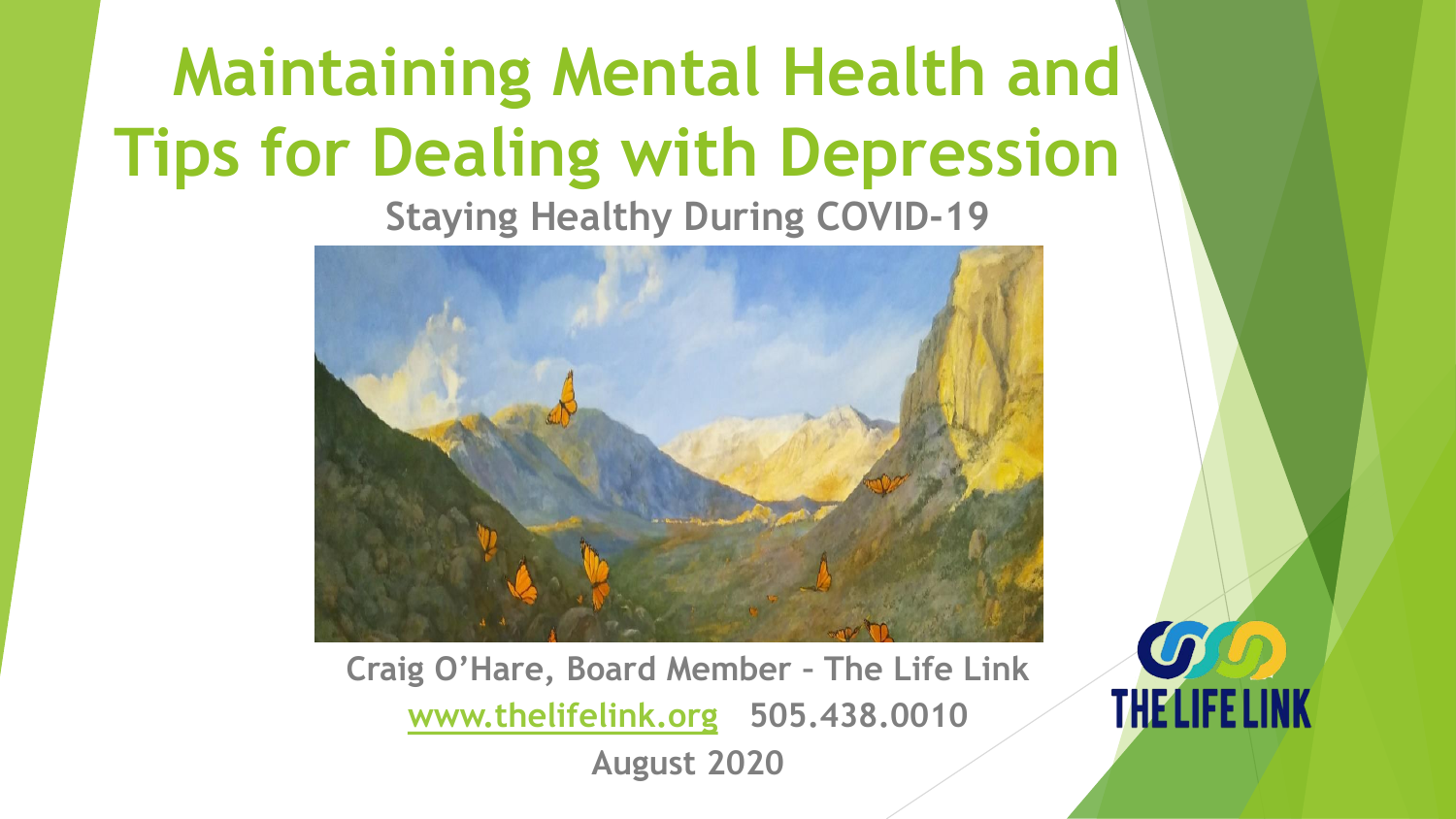# **Maintaining Mental Health and Tips for Dealing with Depression**

**Staying Healthy During COVID-19**



**Craig O'Hare, Board Member – The Life Link [www.thelifelink.org](http://www.thelifelink.org/) 505.438.0010 August 2020**

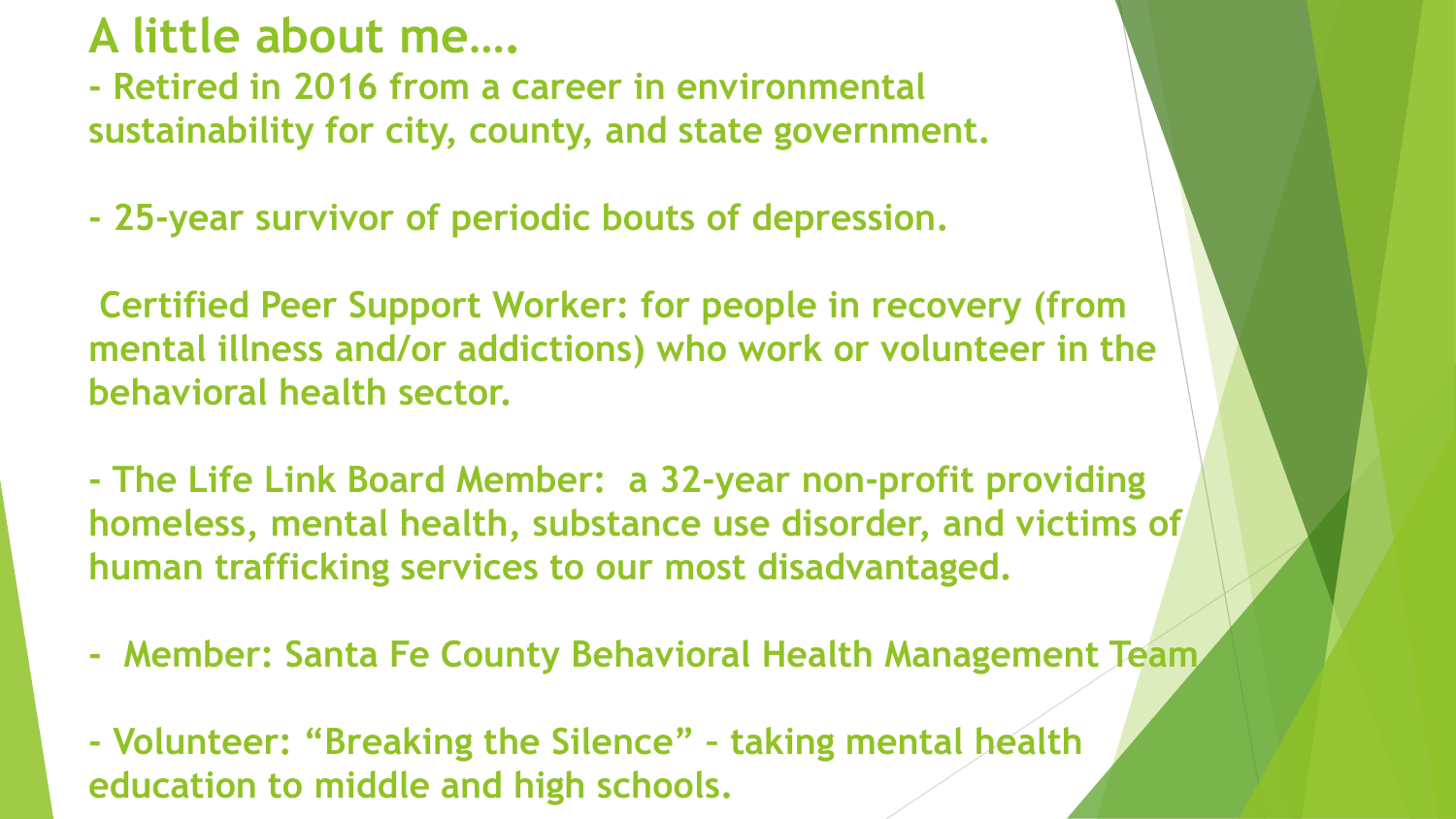### **A little about me….**

**- Retired in 2016 from a career in environmental sustainability for city, county, and state government.**

**- 25-year survivor of periodic bouts of depression.**

**Certified Peer Support Worker: for people in recovery (from mental illness and/or addictions) who work or volunteer in the behavioral health sector.**

**- The Life Link Board Member: a 32-year non-profit providing homeless, mental health, substance use disorder, and victims of human trafficking services to our most disadvantaged.**

**- Member: Santa Fe County Behavioral Health Management Team**

**- Volunteer: "Breaking the Silence" – taking mental health education to middle and high schools.**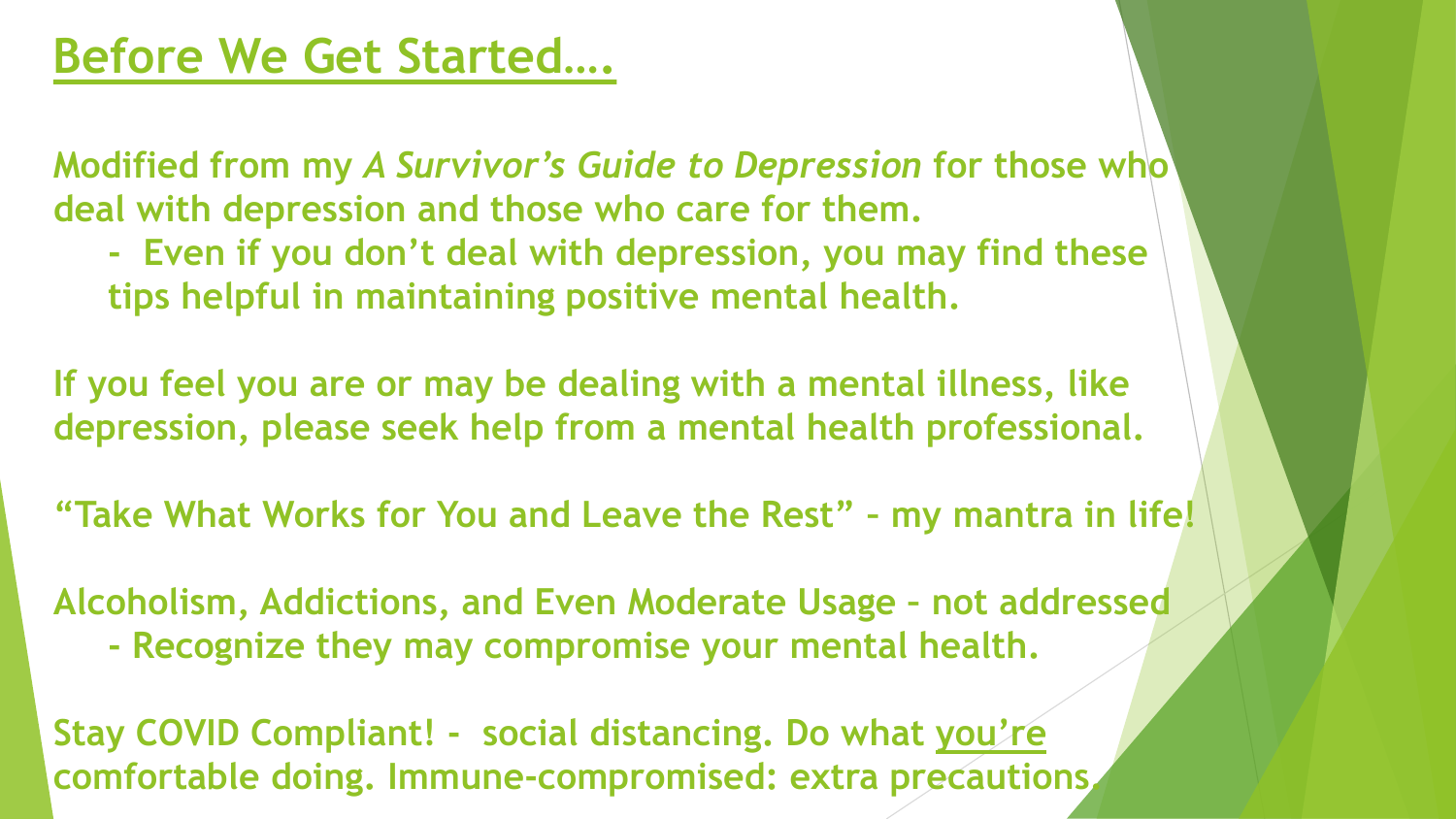**Modified from my** *A Survivor's Guide to Depression* **for those who deal with depression and those who care for them.**

**- Even if you don't deal with depression, you may find these tips helpful in maintaining positive mental health.**

**If you feel you are or may be dealing with a mental illness, like depression, please seek help from a mental health professional.**

**"Take What Works for You and Leave the Rest" – my mantra in life!**

**Alcoholism, Addictions, and Even Moderate Usage – not addressed - Recognize they may compromise your mental health.**

**Stay COVID Compliant! - social distancing. Do what you're comfortable doing. Immune-compromised: extra precautions.**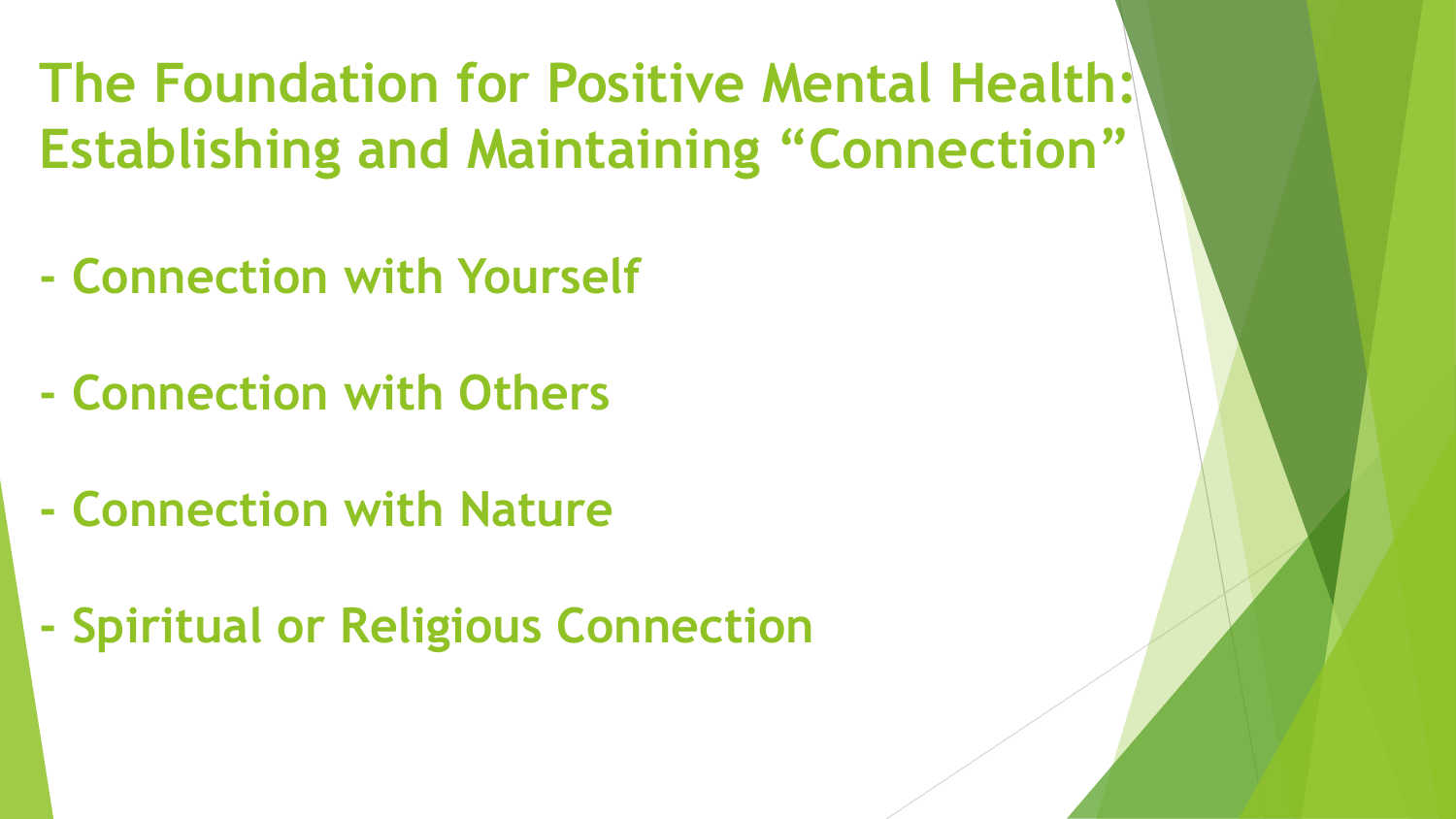# **The Foundation for Positive Mental Health: Establishing and Maintaining "Connection"**

- **- Connection with Yourself**
- **- Connection with Others**
- **- Connection with Nature**
- **- Spiritual or Religious Connection**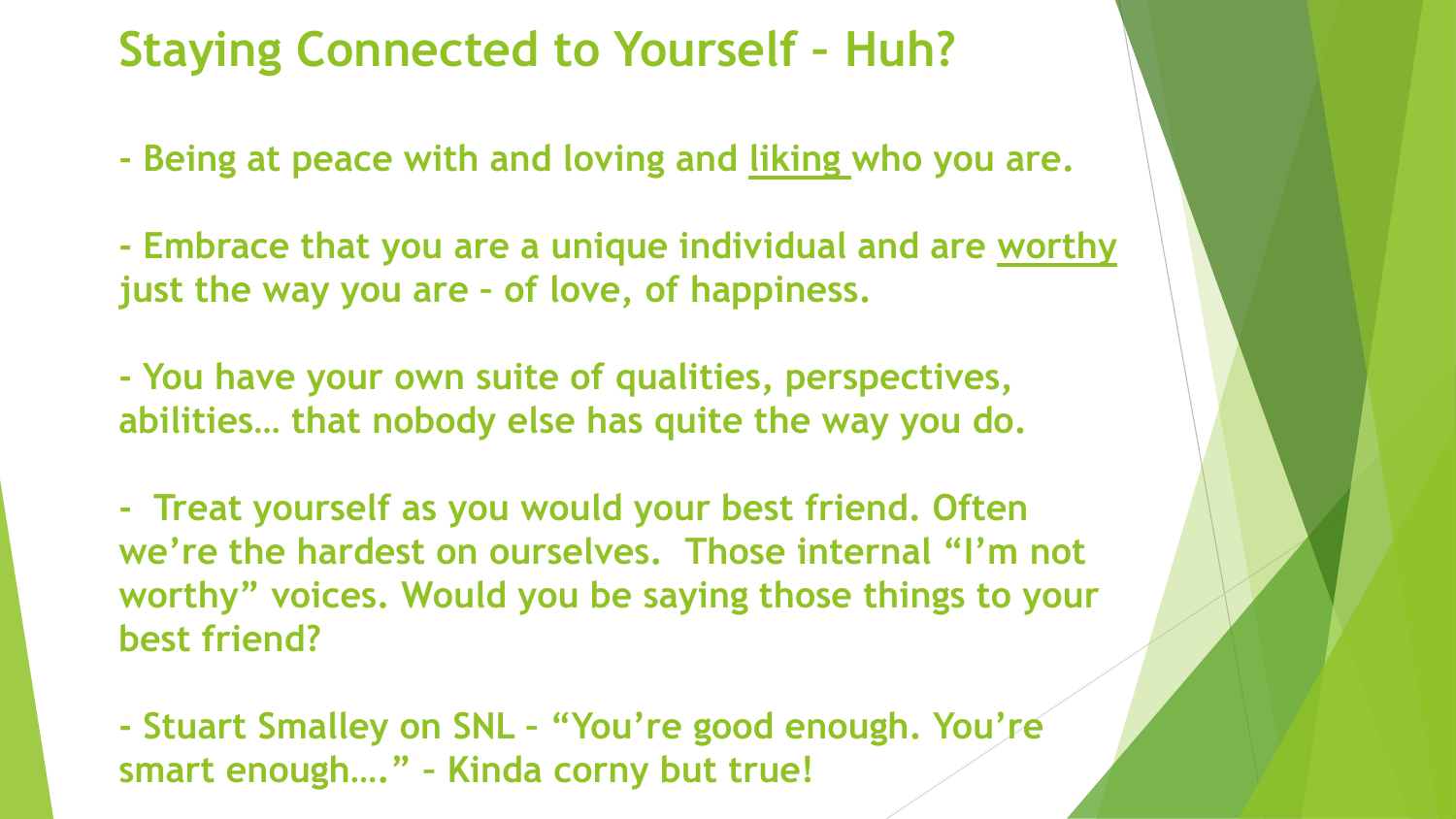### **Staying Connected to Yourself – Huh?**

**- Being at peace with and loving and liking who you are.**

**- Embrace that you are a unique individual and are worthy just the way you are – of love, of happiness.**

**- You have your own suite of qualities, perspectives, abilities… that nobody else has quite the way you do.**

**- Treat yourself as you would your best friend. Often we're the hardest on ourselves. Those internal "I'm not worthy" voices. Would you be saying those things to your best friend?**

**- Stuart Smalley on SNL – "You're good enough. You're smart enough…." – Kinda corny but true!**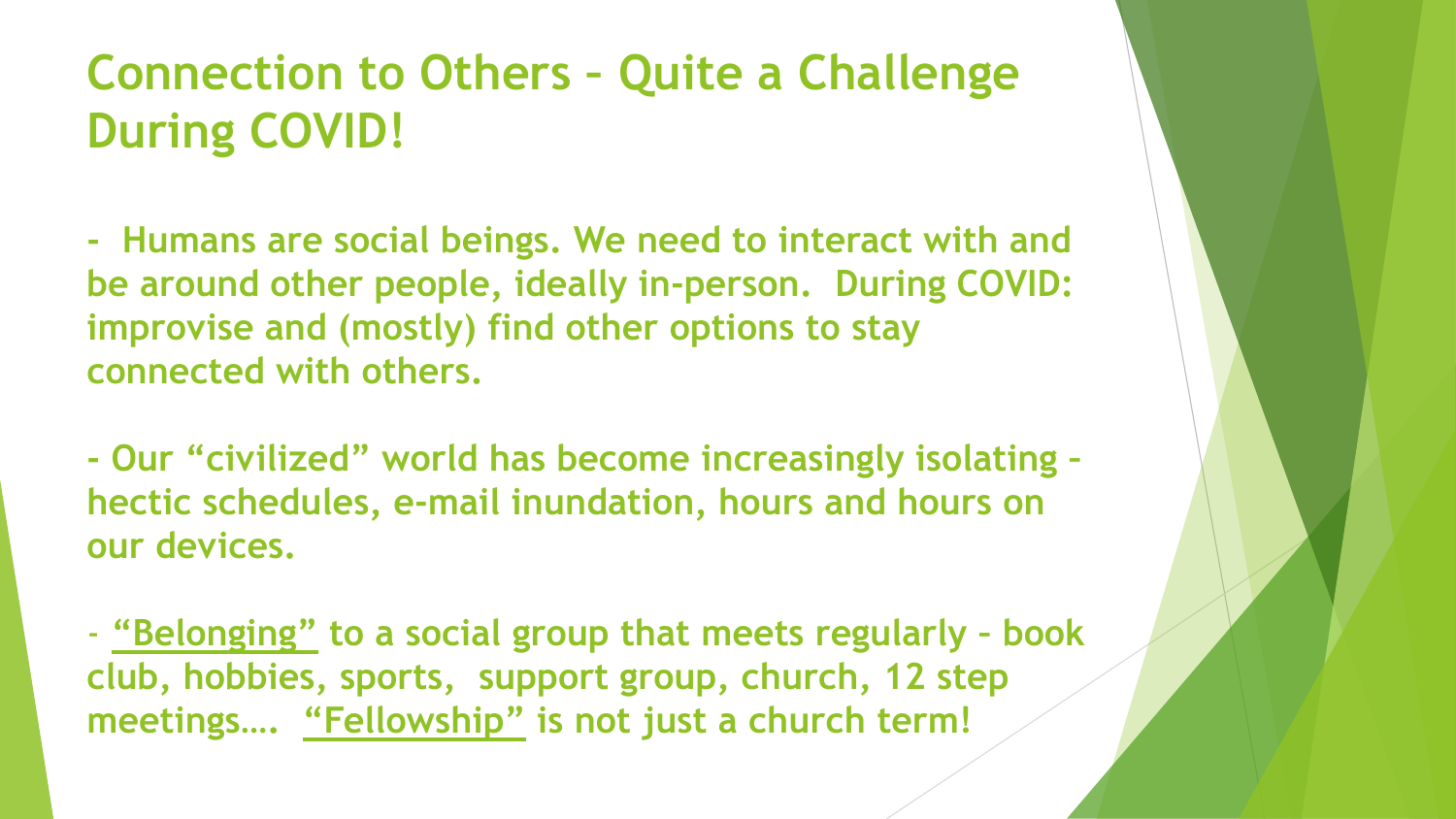# **Connection to Others – Quite a Challenge During COVID!**

**- Humans are social beings. We need to interact with and be around other people, ideally in-person. During COVID: improvise and (mostly) find other options to stay connected with others.**

**- Our "civilized" world has become increasingly isolating – hectic schedules, e-mail inundation, hours and hours on our devices.**

- **"Belonging" to a social group that meets regularly – book club, hobbies, sports, support group, church, 12 step meetings…. "Fellowship" is not just a church term!**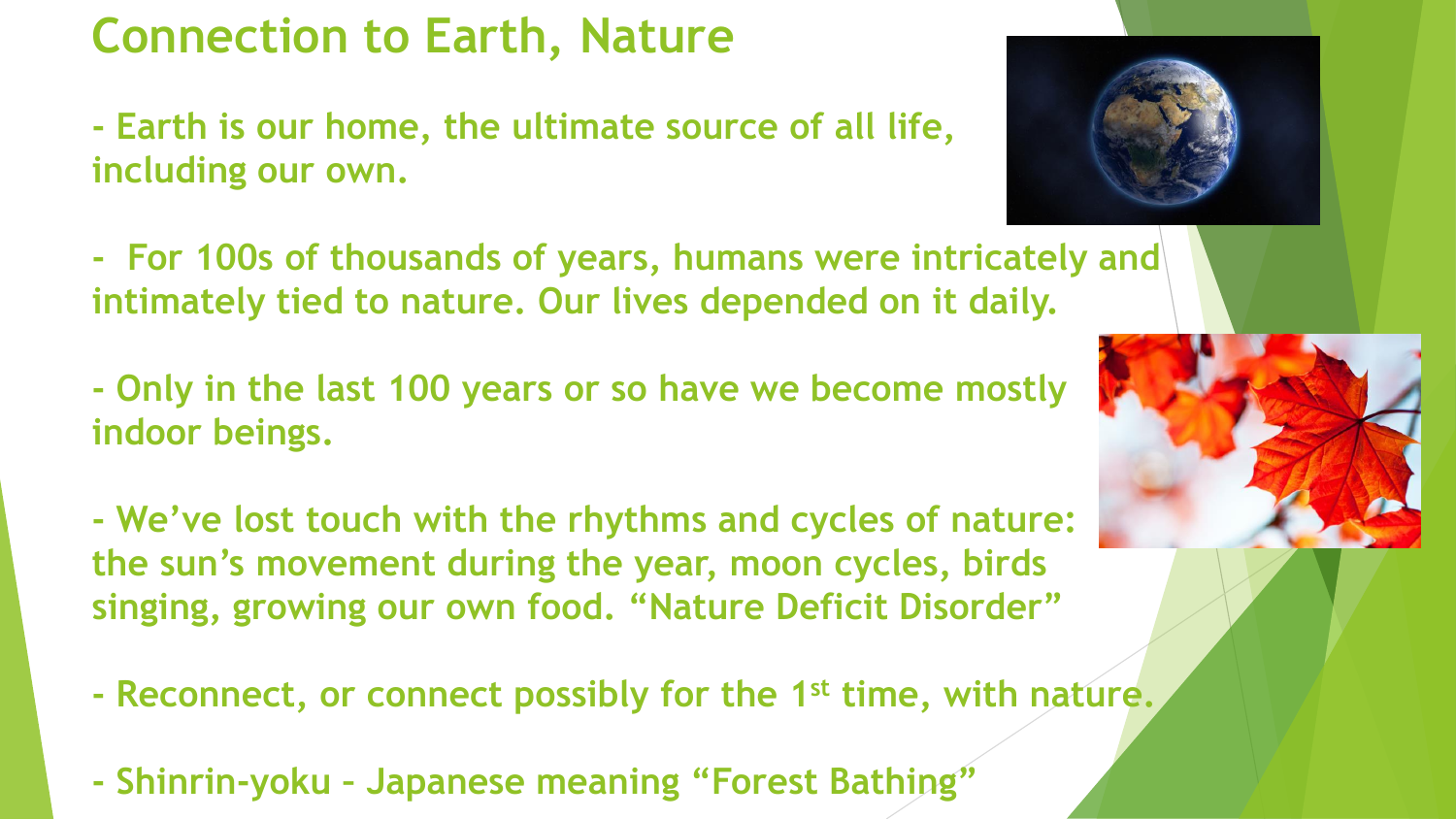# **Connection to Earth, Nature**

**- Earth is our home, the ultimate source of all life, including our own.**

**- For 100s of thousands of years, humans were intricately and intimately tied to nature. Our lives depended on it daily.**

**- Only in the last 100 years or so have we become mostly indoor beings.**

**- We've lost touch with the rhythms and cycles of nature: the sun's movement during the year, moon cycles, birds singing, growing our own food. "Nature Deficit Disorder"**

- **- Reconnect, or connect possibly for the 1st time, with nature.**
- **- Shinrin-yoku – Japanese meaning "Forest Bathing"**



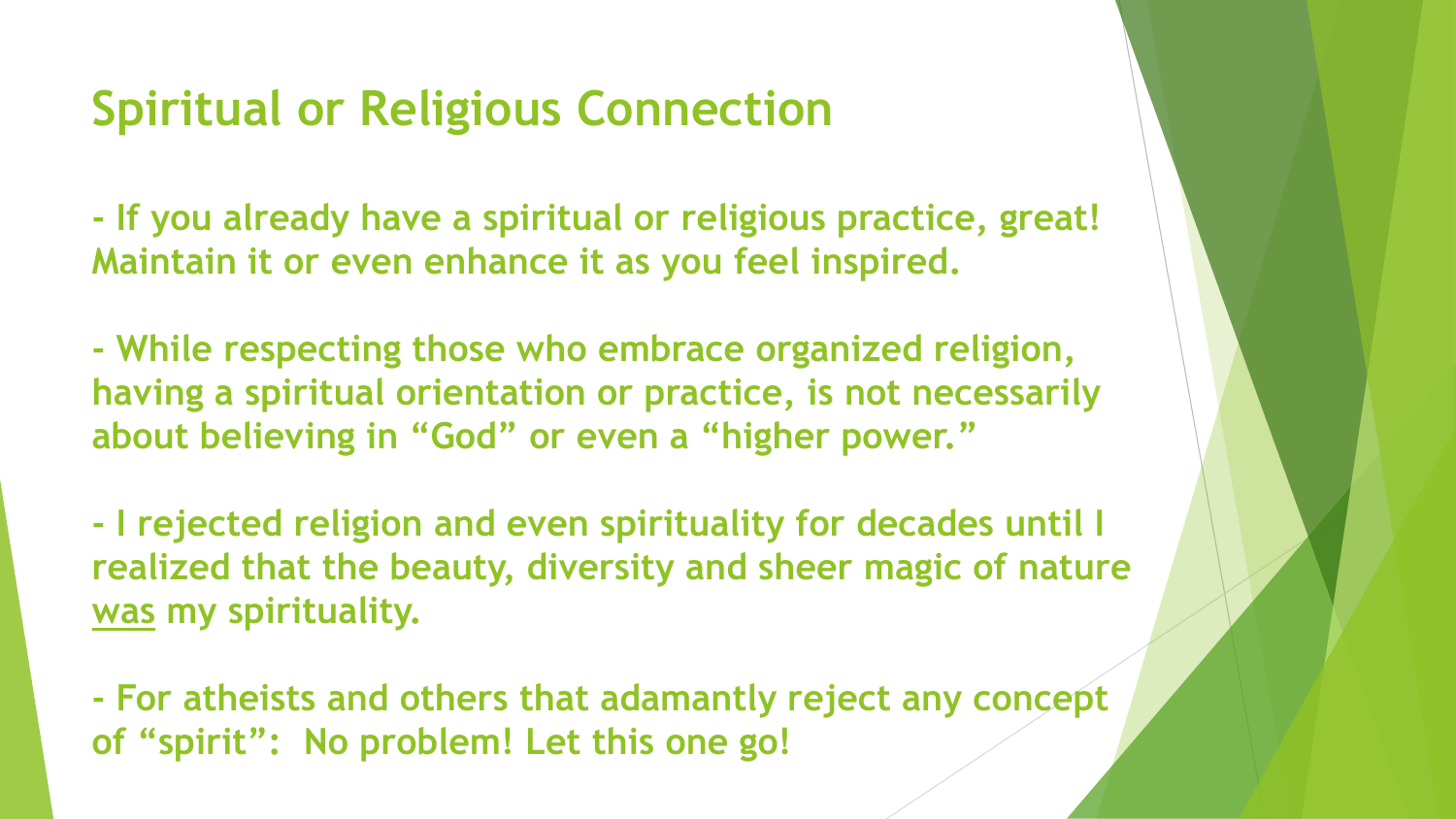# **Spiritual or Religious Connection**

**- If you already have a spiritual or religious practice, great! Maintain it or even enhance it as you feel inspired.**

**- While respecting those who embrace organized religion, having a spiritual orientation or practice, is not necessarily about believing in "God" or even a "higher power."**

**- I rejected religion and even spirituality for decades until I realized that the beauty, diversity and sheer magic of nature was my spirituality.**

**- For atheists and others that adamantly reject any concept of "spirit": No problem! Let this one go!**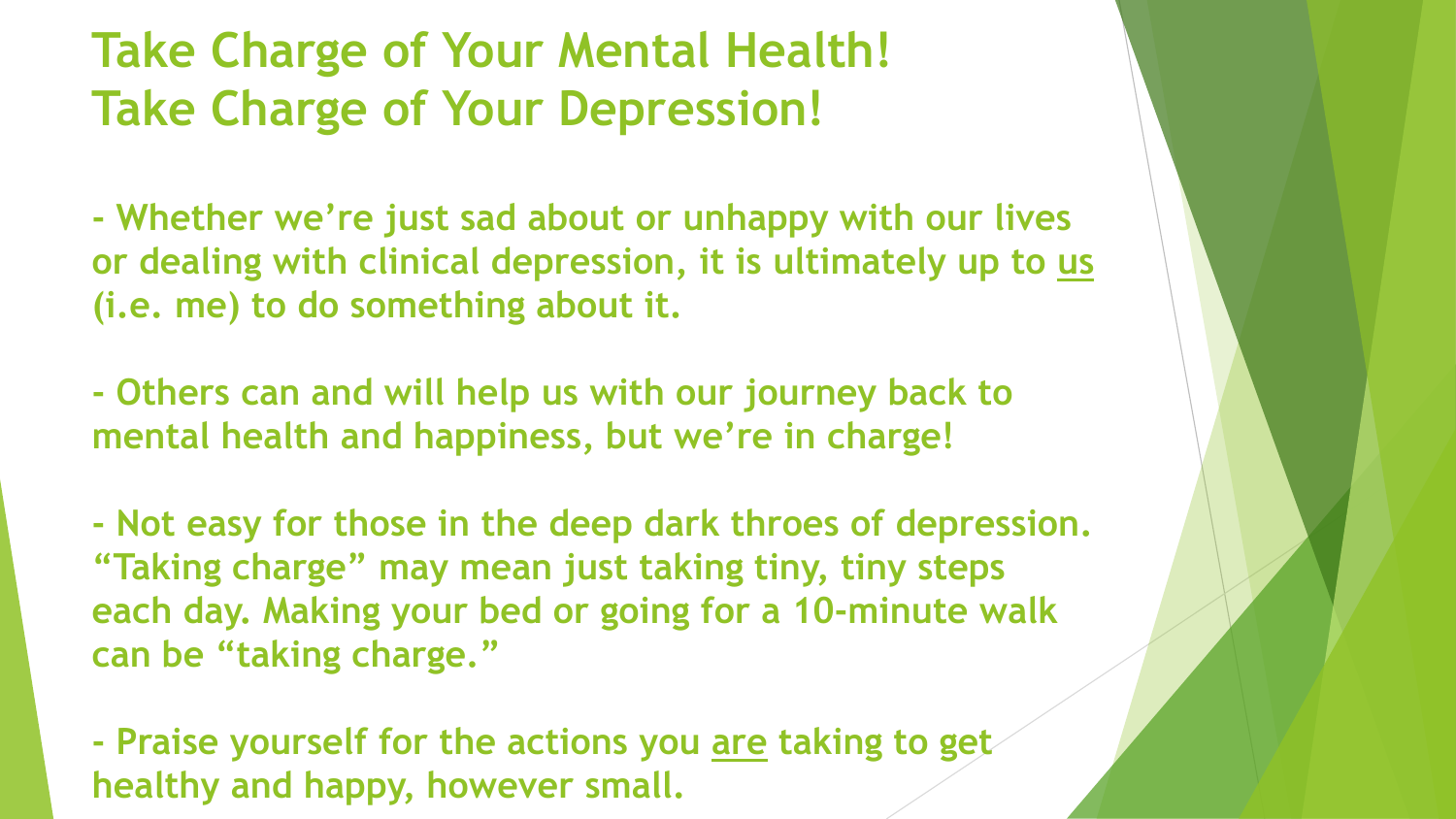# **Take Charge of Your Mental Health! Take Charge of Your Depression!**

**- Whether we're just sad about or unhappy with our lives or dealing with clinical depression, it is ultimately up to us (i.e. me) to do something about it.**

**- Others can and will help us with our journey back to mental health and happiness, but we're in charge!**

**- Not easy for those in the deep dark throes of depression. "Taking charge" may mean just taking tiny, tiny steps each day. Making your bed or going for a 10-minute walk can be "taking charge."**

**- Praise yourself for the actions you are taking to get healthy and happy, however small.**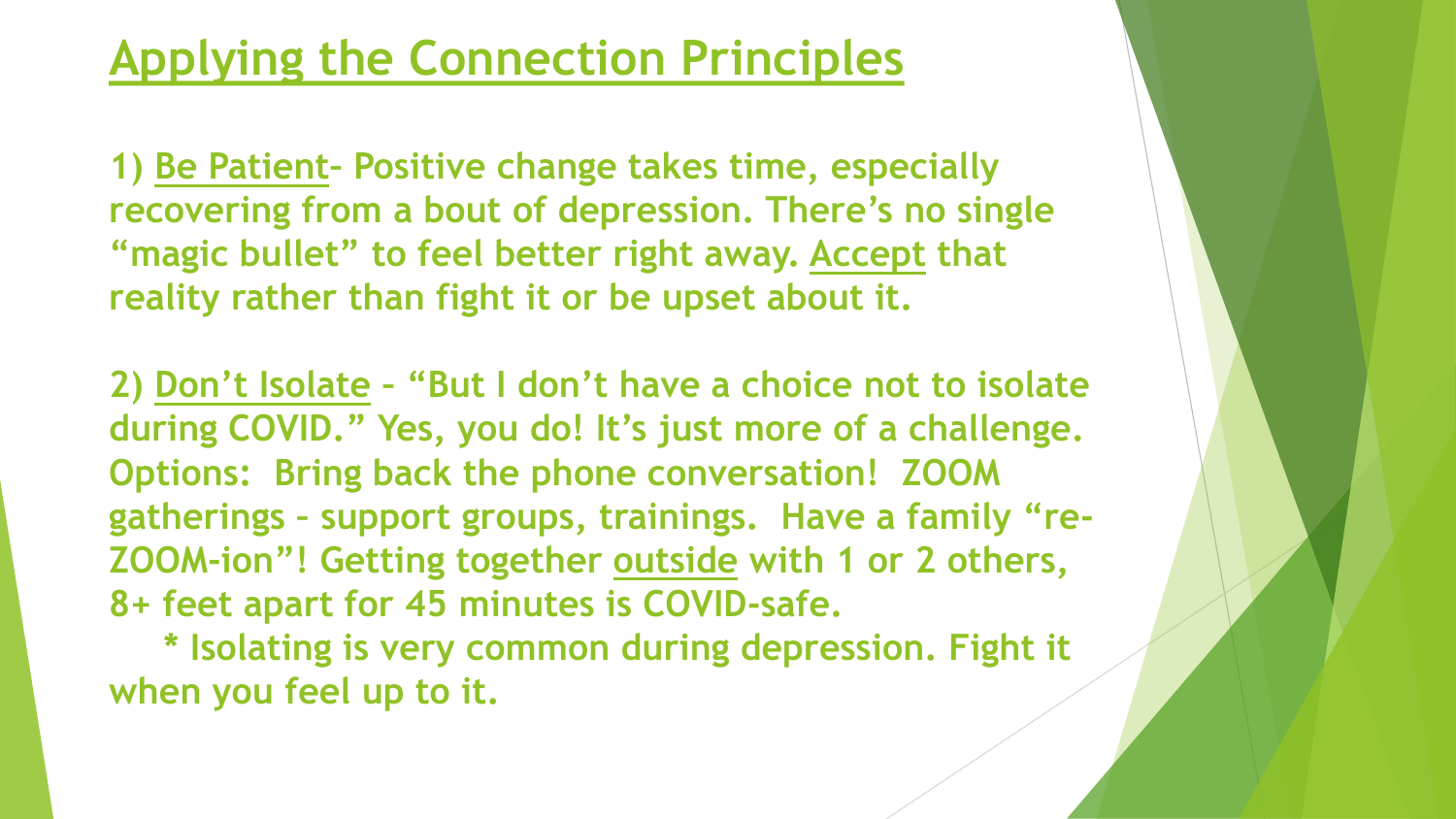### **Applying the Connection Principles**

**1) Be Patient– Positive change takes time, especially recovering from a bout of depression. There's no single "magic bullet" to feel better right away. Accept that reality rather than fight it or be upset about it.**

**2) Don't Isolate – "But I don't have a choice not to isolate during COVID." Yes, you do! It's just more of a challenge. Options: Bring back the phone conversation! ZOOM gatherings – support groups, trainings. Have a family "re-ZOOM-ion"! Getting together outside with 1 or 2 others, 8+ feet apart for 45 minutes is COVID-safe.**

**\* Isolating is very common during depression. Fight it when you feel up to it.**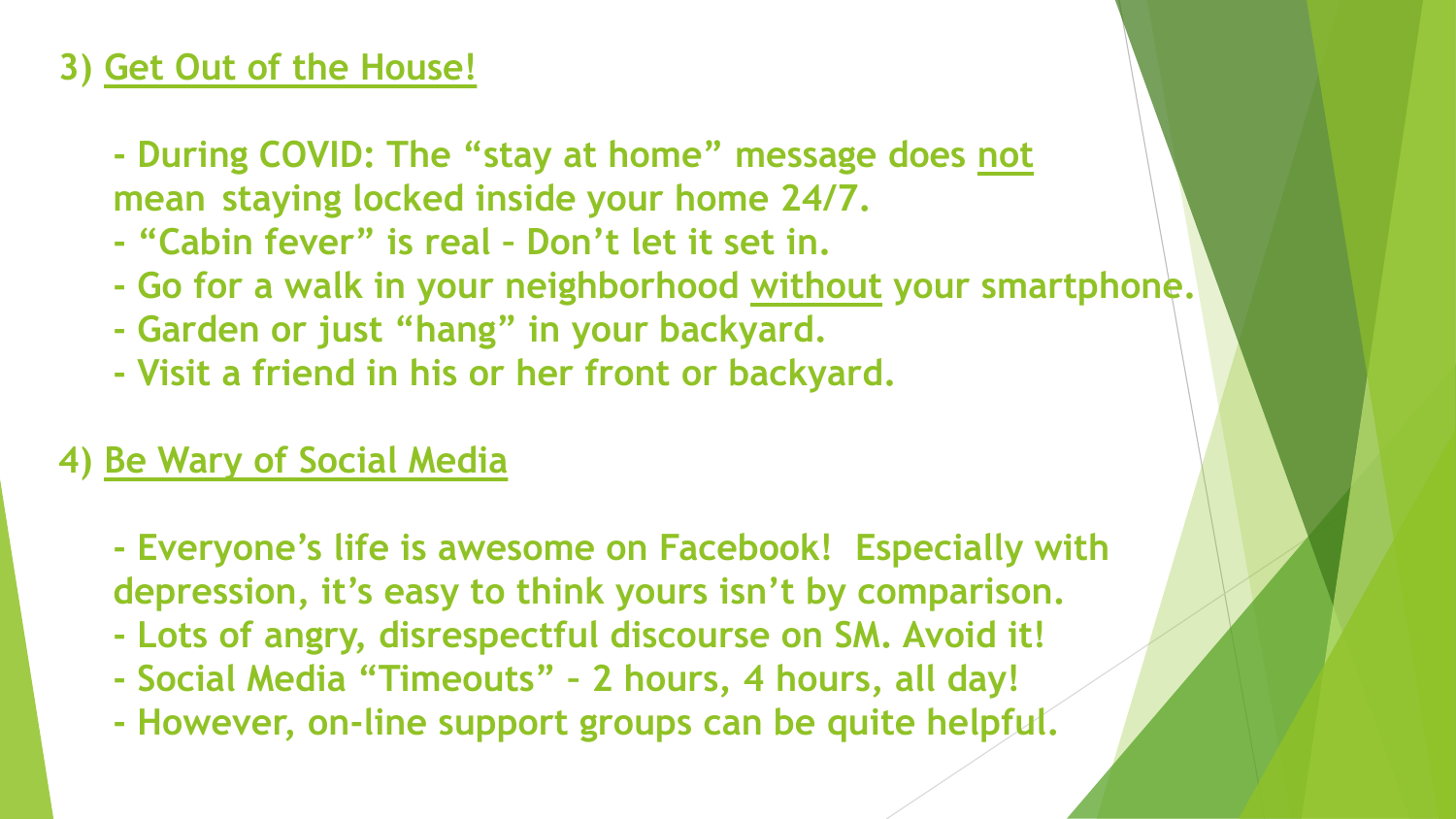#### **3) Get Out of the House!**

- **- During COVID: The "stay at home" message does not mean staying locked inside your home 24/7.**
- **- "Cabin fever" is real – Don't let it set in.**
- **- Go for a walk in your neighborhood without your smartphone.**
- **- Garden or just "hang" in your backyard.**
- **- Visit a friend in his or her front or backyard.**

### **4) Be Wary of Social Media**

- **- Everyone's life is awesome on Facebook! Especially with depression, it's easy to think yours isn't by comparison.**
- **- Lots of angry, disrespectful discourse on SM. Avoid it!**
- **- Social Media "Timeouts" – 2 hours, 4 hours, all day!**
- **- However, on-line support groups can be quite helpful.**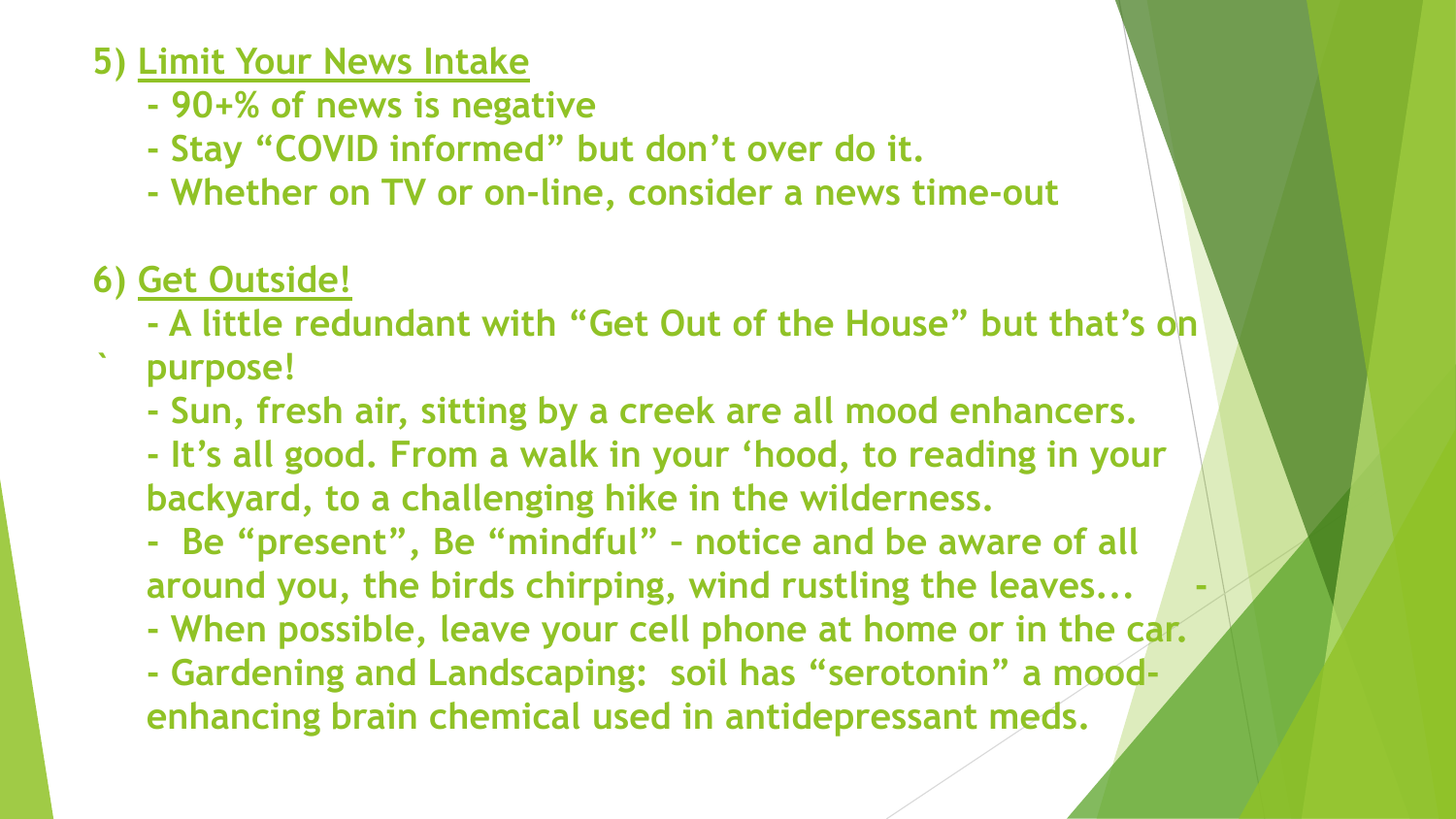#### **5) Limit Your News Intake**

- **- 90+% of news is negative**
- **- Stay "COVID informed" but don't over do it.**
- **- Whether on TV or on-line, consider a news time-out**
- **6) Get Outside!**
	- **- A little redundant with "Get Out of the House" but that's on**
	- **` purpose!**
		- **- Sun, fresh air, sitting by a creek are all mood enhancers.**
		- **- It's all good. From a walk in your 'hood, to reading in your backyard, to a challenging hike in the wilderness.**
		- **- Be "present", Be "mindful" – notice and be aware of all around you, the birds chirping, wind rustling the leaves... -**
		- **- When possible, leave your cell phone at home or in the car.**
		- **- Gardening and Landscaping: soil has "serotonin" a moodenhancing brain chemical used in antidepressant meds.**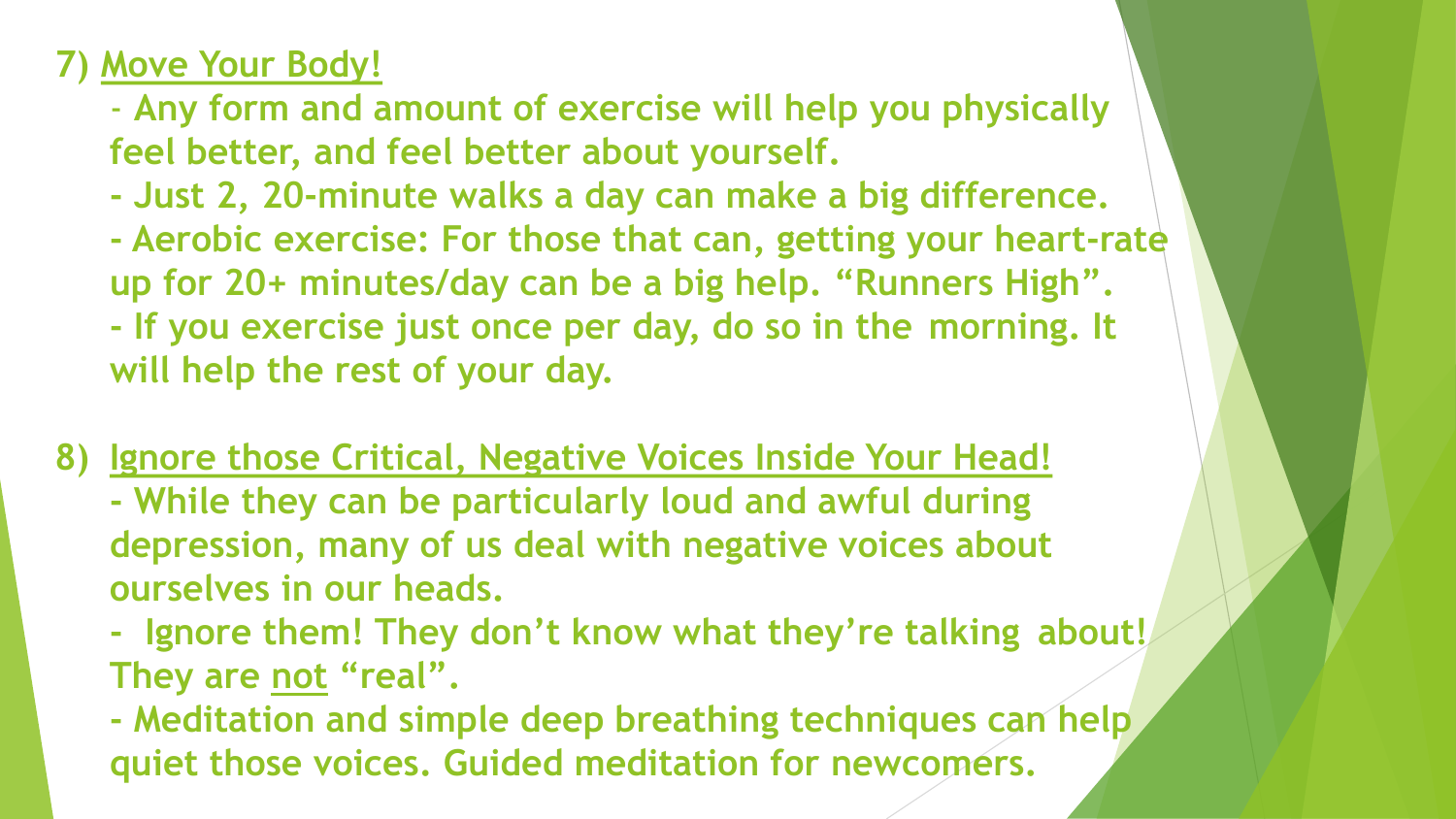### **7) Move Your Body!**

- **Any form and amount of exercise will help you physically feel better, and feel better about yourself.**
- **- Just 2, 20-minute walks a day can make a big difference.**
- **- Aerobic exercise: For those that can, getting your heart-rate up for 20+ minutes/day can be a big help. "Runners High". - If you exercise just once per day, do so in the morning. It will help the rest of your day.**
- **8) Ignore those Critical, Negative Voices Inside Your Head!**
	- **- While they can be particularly loud and awful during depression, many of us deal with negative voices about ourselves in our heads.**
	- **- Ignore them! They don't know what they're talking about! They are not "real".**
	- **- Meditation and simple deep breathing techniques can help quiet those voices. Guided meditation for newcomers.**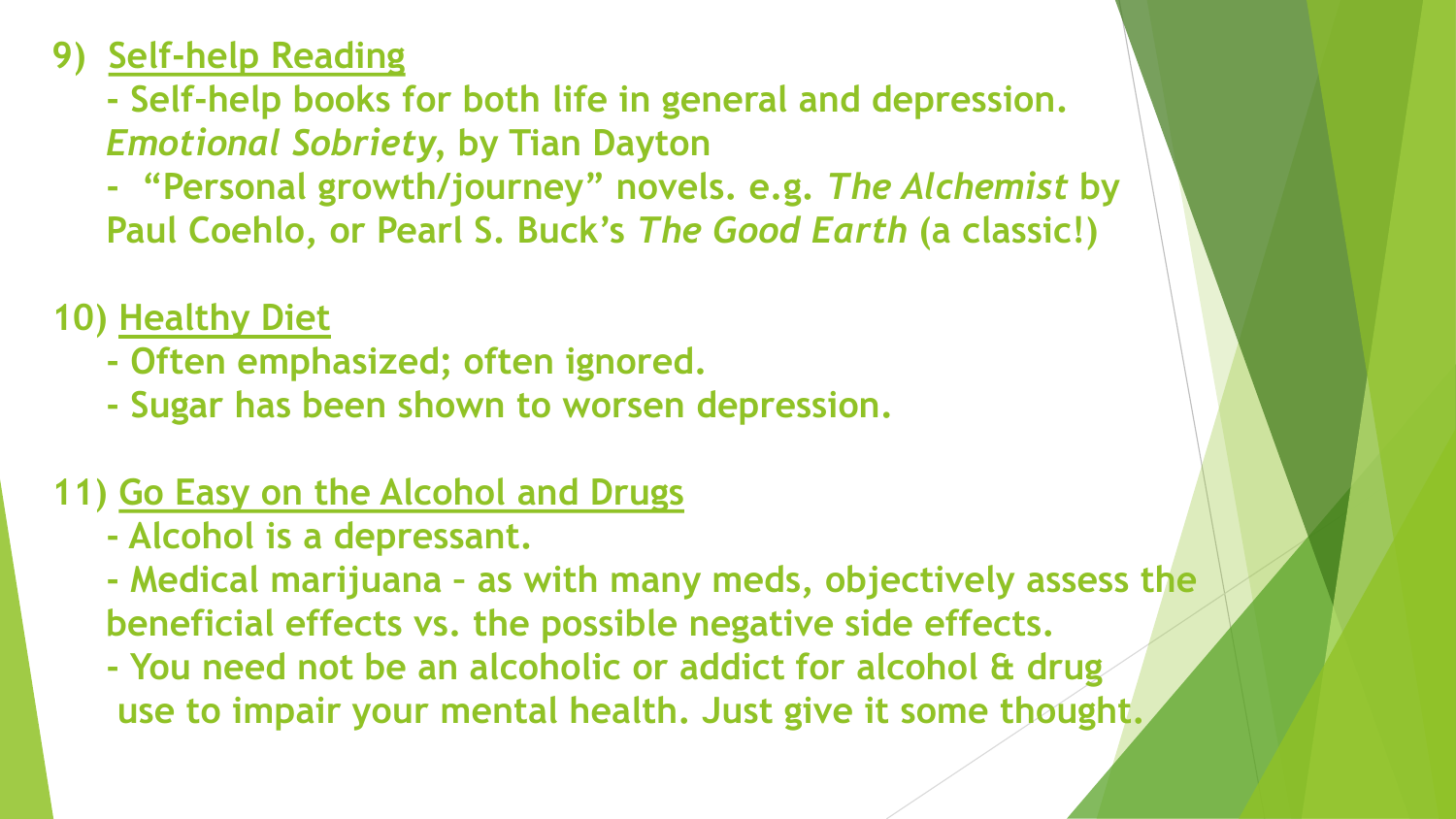### **9) Self-help Reading**

**- Self-help books for both life in general and depression.**  *Emotional Sobriety,* **by Tian Dayton**

**- "Personal growth/journey" novels. e.g.** *The Alchemist* **by Paul Coehlo, or Pearl S. Buck's** *The Good Earth* **(a classic!)**

**10) Healthy Diet**

- **- Often emphasized; often ignored.**
- **- Sugar has been shown to worsen depression.**

### **11) Go Easy on the Alcohol and Drugs**

**- Alcohol is a depressant.**

**- Medical marijuana – as with many meds, objectively assess the beneficial effects vs. the possible negative side effects.**

**- You need not be an alcoholic or addict for alcohol & drug use to impair your mental health. Just give it some thought.**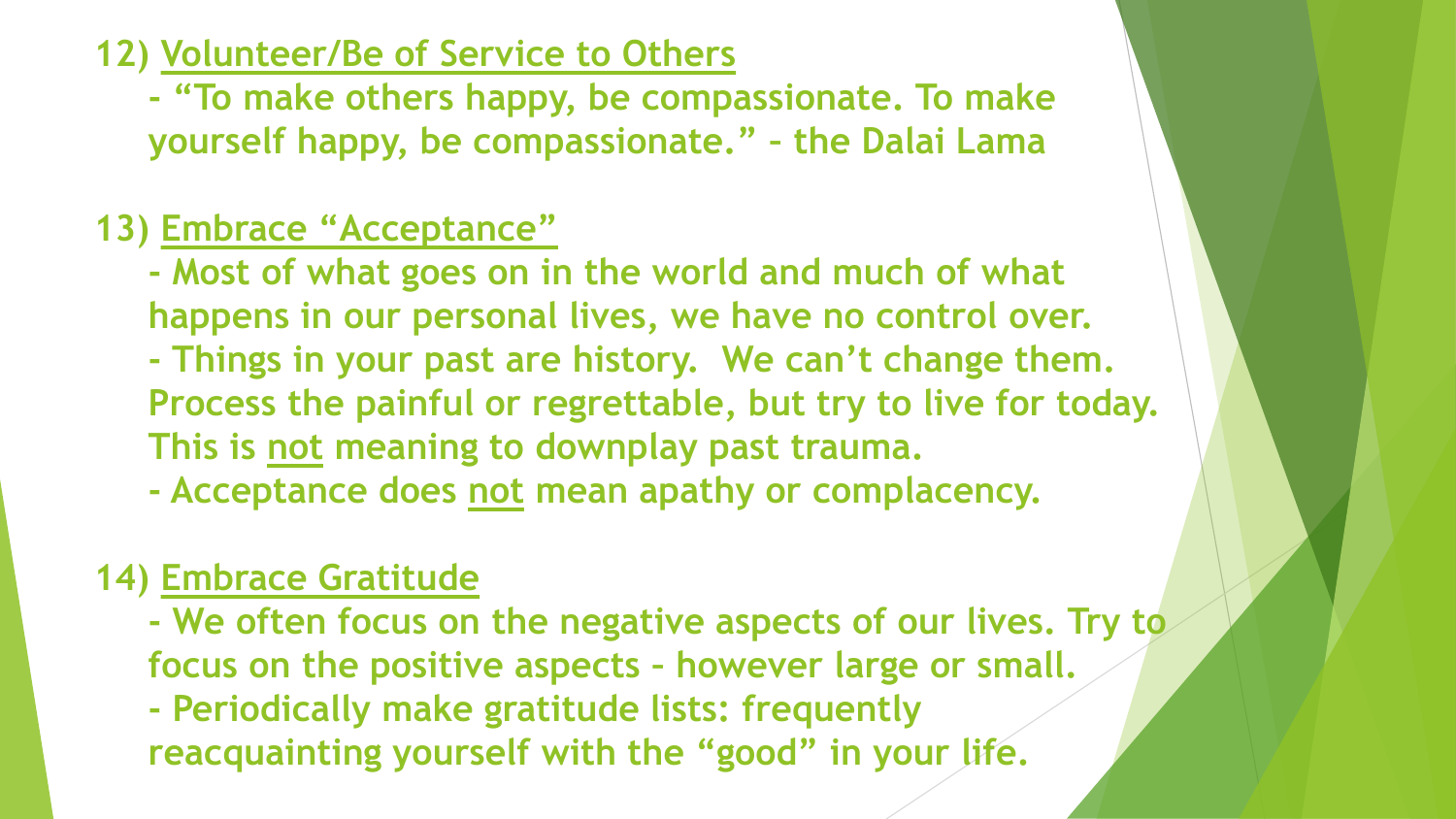#### **12) Volunteer/Be of Service to Others**

**- "To make others happy, be compassionate. To make yourself happy, be compassionate." – the Dalai Lama**

### **13) Embrace "Acceptance"**

- **- Most of what goes on in the world and much of what happens in our personal lives, we have no control over.**
- **- Things in your past are history. We can't change them. Process the painful or regrettable, but try to live for today. This is not meaning to downplay past trauma.**
- **- Acceptance does not mean apathy or complacency.**

### **14) Embrace Gratitude**

- **- We often focus on the negative aspects of our lives. Try to focus on the positive aspects – however large or small.**
- **- Periodically make gratitude lists: frequently reacquainting yourself with the "good" in your life.**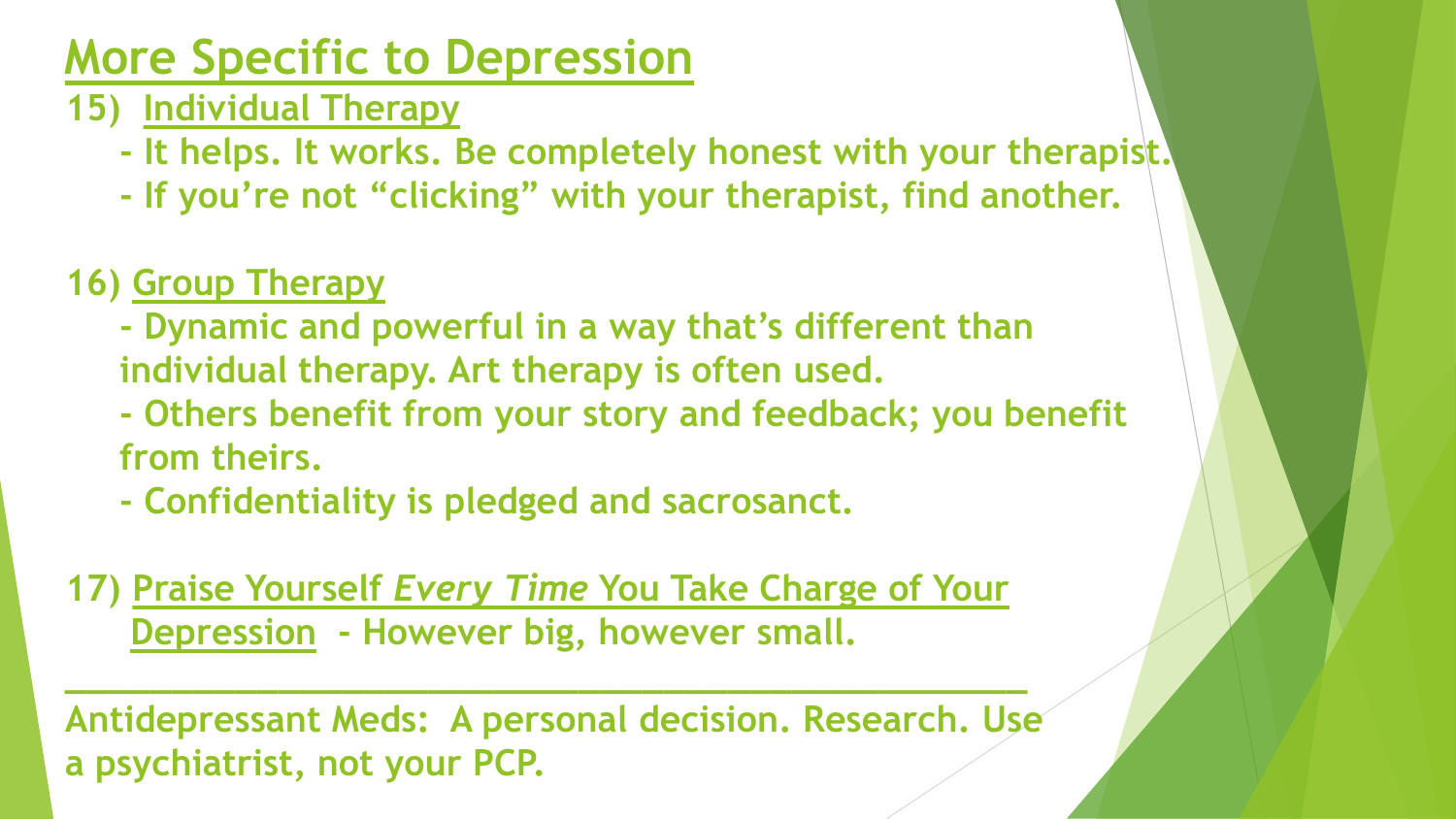# **More Specific to Depression**

- **15) Individual Therapy**
	- **- It helps. It works. Be completely honest with your therapist.**
	- **- If you're not "clicking" with your therapist, find another.**
- **16) Group Therapy**
	- **- Dynamic and powerful in a way that's different than individual therapy. Art therapy is often used.**
	- **- Others benefit from your story and feedback; you benefit from theirs.**
	- **- Confidentiality is pledged and sacrosanct.**
- **17) Praise Yourself** *Every Time* **You Take Charge of Your Depression - However big, however small.**

**\_\_\_\_\_\_\_\_\_\_\_\_\_\_\_\_\_\_\_\_\_\_\_\_\_\_\_\_\_\_\_\_\_\_\_\_\_\_\_\_\_\_\_\_\_**

**Antidepressant Meds: A personal decision. Research. Use a psychiatrist, not your PCP.**